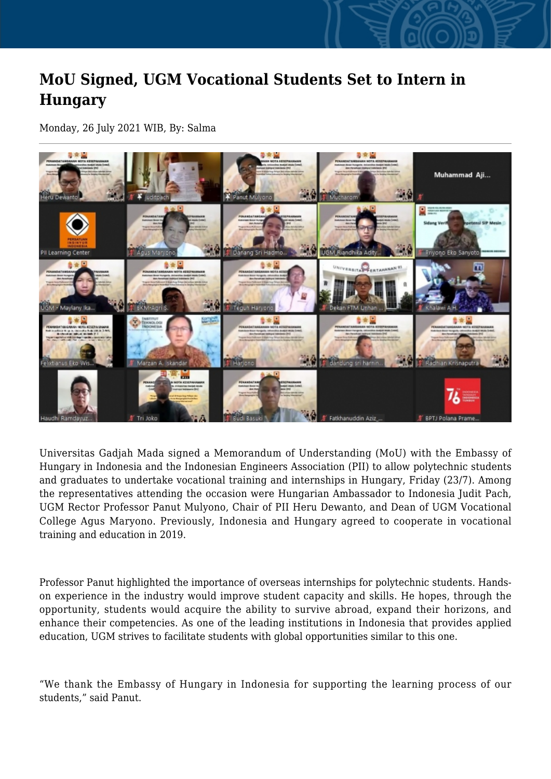## **MoU Signed, UGM Vocational Students Set to Intern in Hungary**

Monday, 26 July 2021 WIB, By: Salma



Universitas Gadjah Mada signed a Memorandum of Understanding (MoU) with the Embassy of Hungary in Indonesia and the Indonesian Engineers Association (PII) to allow polytechnic students and graduates to undertake vocational training and internships in Hungary, Friday (23/7). Among the representatives attending the occasion were Hungarian Ambassador to Indonesia Judit Pach, UGM Rector Professor Panut Mulyono, Chair of PII Heru Dewanto, and Dean of UGM Vocational College Agus Maryono. Previously, Indonesia and Hungary agreed to cooperate in vocational training and education in 2019.

Professor Panut highlighted the importance of overseas internships for polytechnic students. Handson experience in the industry would improve student capacity and skills. He hopes, through the opportunity, students would acquire the ability to survive abroad, expand their horizons, and enhance their competencies. As one of the leading institutions in Indonesia that provides applied education, UGM strives to facilitate students with global opportunities similar to this one.

"We thank the Embassy of Hungary in Indonesia for supporting the learning process of our students," said Panut.